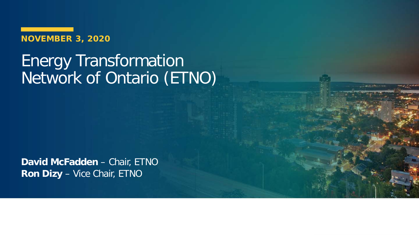**NOVEMBER 3, 2020**

## Energy Transformation Network of Ontario (ETNO)

**David McFadden** – Chair, ETNO **Ron Dizy** – Vice Chair, ETNO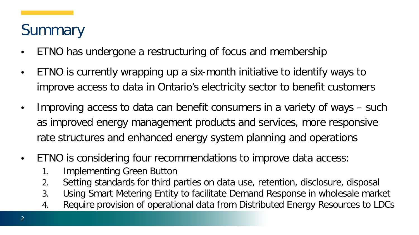# **Summary**

- ETNO has undergone a restructuring of focus and membership
- ETNO is currently wrapping up a six-month initiative to identify ways to improve access to data in Ontario's electricity sector to benefit customers
- Improving access to data can benefit consumers in a variety of ways such as improved energy management products and services, more responsive rate structures and enhanced energy system planning and operations
- ETNO is considering four recommendations to improve data access:
	- 1. Implementing Green Button
	- 2. Setting standards for third parties on data use, retention, disclosure, disposal
	- 3. Using Smart Metering Entity to facilitate Demand Response in wholesale market
	- 4. Require provision of operational data from Distributed Energy Resources to LDCs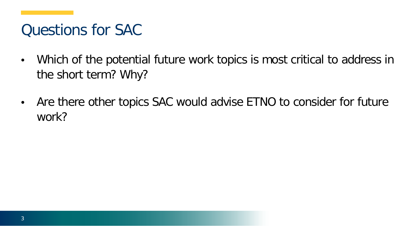### Questions for SAC

- Which of the potential future work topics is most critical to address in the short term? Why?
- Are there other topics SAC would advise ETNO to consider for future work?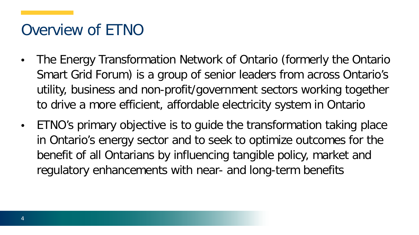### Overview of ETNO

- The Energy Transformation Network of Ontario (formerly the Ontario Smart Grid Forum) is a group of senior leaders from across Ontario's utility, business and non-profit/government sectors working together to drive a more efficient, affordable electricity system in Ontario
- ETNO's primary objective is to guide the transformation taking place in Ontario's energy sector and to seek to optimize outcomes for the benefit of all Ontarians by influencing tangible policy, market and regulatory enhancements with near- and long-term benefits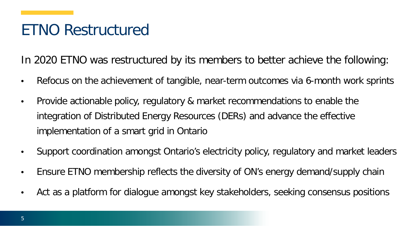### ETNO Restructured

In 2020 ETNO was restructured by its members to better achieve the following:

- Refocus on the achievement of tangible, near-term outcomes via 6-month work sprints
- Provide actionable policy, regulatory & market recommendations to enable the integration of Distributed Energy Resources (DERs) and advance the effective implementation of a smart grid in Ontario
- Support coordination amongst Ontario's electricity policy, regulatory and market leaders
- Ensure ETNO membership reflects the diversity of ON's energy demand/supply chain
- Act as a platform for dialogue amongst key stakeholders, seeking consensus positions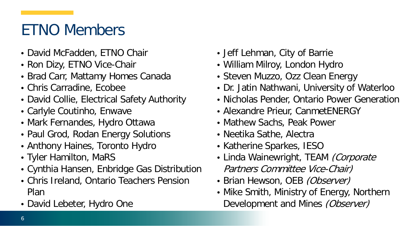## ETNO Members

- David McFadden, ETNO Chair
- Ron Dizy, ETNO Vice-Chair
- Brad Carr, Mattamy Homes Canada
- Chris Carradine, Ecobee
- David Collie, Electrical Safety Authority
- Carlyle Coutinho, Enwave
- Mark Fernandes, Hydro Ottawa
- Paul Grod, Rodan Energy Solutions
- Anthony Haines, Toronto Hydro
- Tyler Hamilton, MaRS
- Cynthia Hansen, Enbridge Gas Distribution
- Chris Ireland, Ontario Teachers Pension Plan
- David Lebeter, Hydro One
- Jeff Lehman, City of Barrie
- William Milroy, London Hydro
- Steven Muzzo, Ozz Clean Energy
- Dr. Jatin Nathwani, University of Waterloo
- Nicholas Pender, Ontario Power Generation
- Alexandre Prieur, CanmetENERGY
- Mathew Sachs, Peak Power
- Neetika Sathe, Alectra
- Katherine Sparkes, IESO
- Linda Wainewright, TEAM *(Corporate* Partners Committee Vice-Chair)
- Brian Hewson, OEB *(Observer)*
- Mike Smith, Ministry of Energy, Northern Development and Mines (Observer)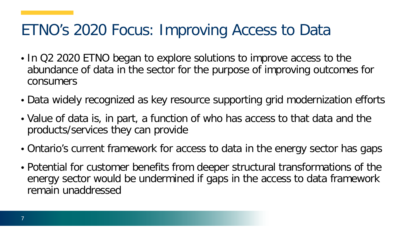### ETNO's 2020 Focus: Improving Access to Data

- In Q2 2020 ETNO began to explore solutions to improve access to the abundance of data in the sector for the purpose of improving outcomes for consumers
- Data widely recognized as key resource supporting grid modernization efforts
- Value of data is, in part, a function of who has access to that data and the products/services they can provide
- Ontario's current framework for access to data in the energy sector has gaps
- Potential for customer benefits from deeper structural transformations of the energy sector would be undermined if gaps in the access to data framework remain unaddressed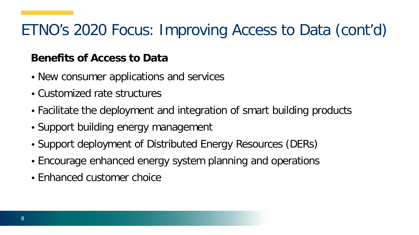## ETNO's 2020 Focus: Improving Access to Data (cont'd)

#### **Benefits of Access to Data**

- New consumer applications and services
- Customized rate structures
- Facilitate the deployment and integration of smart building products
- Support building energy management
- Support deployment of Distributed Energy Resources (DERs)
- Encourage enhanced energy system planning and operations
- Enhanced customer choice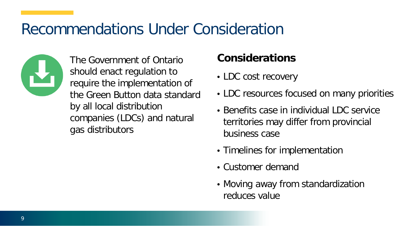### Recommendations Under Consideration



The Government of Ontario should enact regulation to require the implementation of the Green Button data standard by all local distribution companies (LDCs) and natural gas distributors

### **Considerations**

- LDC cost recovery
- LDC resources focused on many priorities
- Benefits case in individual LDC service territories may differ from provincial business case
- Timelines for implementation
- Customer demand
- Moving away from standardization reduces value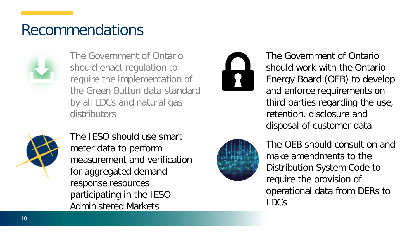### Recommendations



The Government of Ontario should enact regulation to require the implementation of the Green Button data standard by all LDCs and natural gas distributors



The IESO should use smart meter data to perform measurement and verification for aggregated demand response resources participating in the IESO Administered Markets



The Government of Ontario should work with the Ontario Energy Board (OEB) to develop and enforce requirements on third parties regarding the use, retention, disclosure and disposal of customer data



The OEB should consult on and make amendments to the Distribution System Code to require the provision of operational data from DERs to LDCs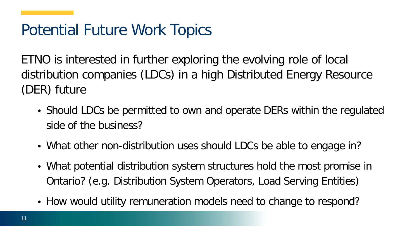### Potential Future Work Topics

ETNO is interested in further exploring the evolving role of local distribution companies (LDCs) in a high Distributed Energy Resource (DER) future

- Should LDCs be permitted to own and operate DERs within the regulated side of the business?
- What other non-distribution uses should LDCs be able to engage in?
- What potential distribution system structures hold the most promise in Ontario? (e.g. Distribution System Operators, Load Serving Entities)
- How would utility remuneration models need to change to respond?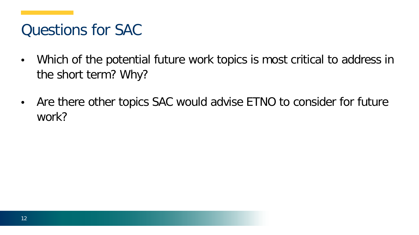### Questions for SAC

- Which of the potential future work topics is most critical to address in the short term? Why?
- Are there other topics SAC would advise ETNO to consider for future work?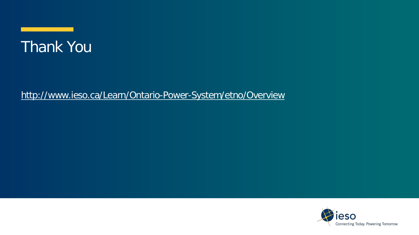

<http://www.ieso.ca/Learn/Ontario-Power-System/etno/Overview>

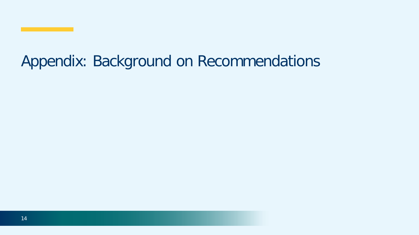### Appendix: Background on Recommendations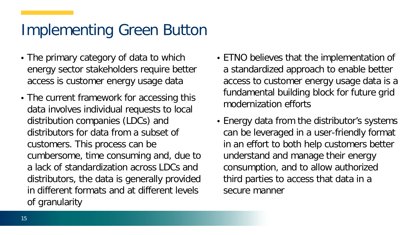### Implementing Green Button

- The primary category of data to which energy sector stakeholders require better access is customer energy usage data
- The current framework for accessing this data involves individual requests to local distribution companies (LDCs) and distributors for data from a subset of customers. This process can be cumbersome, time consuming and, due to a lack of standardization across LDCs and distributors, the data is generally provided in different formats and at different levels of granularity
- ETNO believes that the implementation of a standardized approach to enable better access to customer energy usage data is a fundamental building block for future grid modernization efforts
- Energy data from the distributor's systems can be leveraged in a user-friendly format in an effort to both help customers better understand and manage their energy consumption, and to allow authorized third parties to access that data in a secure manner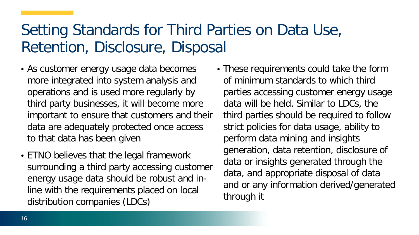### Setting Standards for Third Parties on Data Use, Retention, Disclosure, Disposal

- As customer energy usage data becomes more integrated into system analysis and operations and is used more regularly by third party businesses, it will become more important to ensure that customers and their data are adequately protected once access to that data has been given
- ETNO believes that the legal framework surrounding a third party accessing customer energy usage data should be robust and inline with the requirements placed on local distribution companies (LDCs)
- These requirements could take the form of minimum standards to which third parties accessing customer energy usage data will be held. Similar to LDCs, the third parties should be required to follow strict policies for data usage, ability to perform data mining and insights generation, data retention, disclosure of data or insights generated through the data, and appropriate disposal of data and or any information derived/generated through it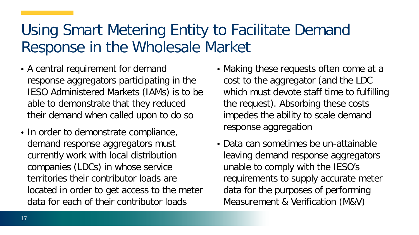## Using Smart Metering Entity to Facilitate Demand Response in the Wholesale Market

- A central requirement for demand response aggregators participating in the IESO Administered Markets (IAMs) is to be able to demonstrate that they reduced their demand when called upon to do so
- In order to demonstrate compliance, demand response aggregators must currently work with local distribution companies (LDCs) in whose service territories their contributor loads are located in order to get access to the meter data for each of their contributor loads
- Making these requests often come at a cost to the aggregator (and the LDC which must devote staff time to fulfilling the request). Absorbing these costs impedes the ability to scale demand response aggregation
- Data can sometimes be un-attainable leaving demand response aggregators unable to comply with the IESO's requirements to supply accurate meter data for the purposes of performing Measurement & Verification (M&V)